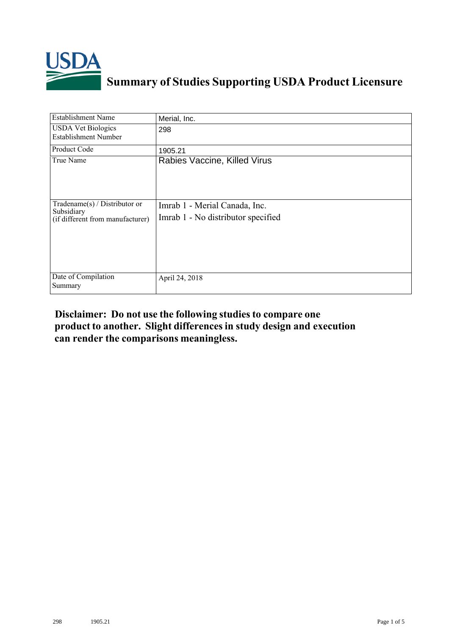

## **Summary of Studies Supporting USDA Product Licensure**

| <b>Establishment Name</b>                                                         | Merial, Inc.                                                        |
|-----------------------------------------------------------------------------------|---------------------------------------------------------------------|
| <b>USDA Vet Biologics</b><br><b>Establishment Number</b>                          | 298                                                                 |
| Product Code                                                                      | 1905.21                                                             |
| True Name                                                                         | Rabies Vaccine, Killed Virus                                        |
| $Tradename(s) / Distributor$ or<br>Subsidiary<br>(if different from manufacturer) | Imrab 1 - Merial Canada, Inc.<br>Imrab 1 - No distributor specified |
| Date of Compilation<br>Summary                                                    | April 24, 2018                                                      |

## **Disclaimer: Do not use the following studiesto compare one product to another. Slight differencesin study design and execution can render the comparisons meaningless.**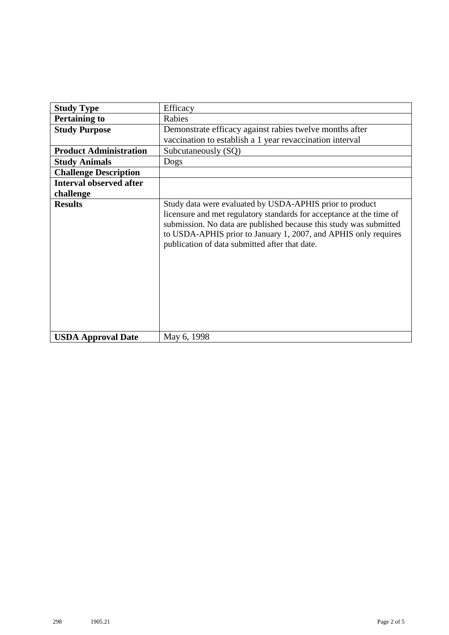| <b>Study Type</b>              | Efficacy                                                                                                                                                                                                                                                                                                                    |
|--------------------------------|-----------------------------------------------------------------------------------------------------------------------------------------------------------------------------------------------------------------------------------------------------------------------------------------------------------------------------|
| <b>Pertaining to</b>           | Rabies                                                                                                                                                                                                                                                                                                                      |
| <b>Study Purpose</b>           | Demonstrate efficacy against rabies twelve months after                                                                                                                                                                                                                                                                     |
|                                | vaccination to establish a 1 year revaccination interval                                                                                                                                                                                                                                                                    |
| <b>Product Administration</b>  | Subcutaneously (SQ)                                                                                                                                                                                                                                                                                                         |
| <b>Study Animals</b>           | Dogs                                                                                                                                                                                                                                                                                                                        |
| <b>Challenge Description</b>   |                                                                                                                                                                                                                                                                                                                             |
| <b>Interval observed after</b> |                                                                                                                                                                                                                                                                                                                             |
| challenge                      |                                                                                                                                                                                                                                                                                                                             |
| <b>Results</b>                 | Study data were evaluated by USDA-APHIS prior to product<br>licensure and met regulatory standards for acceptance at the time of<br>submission. No data are published because this study was submitted<br>to USDA-APHIS prior to January 1, 2007, and APHIS only requires<br>publication of data submitted after that date. |
| <b>USDA Approval Date</b>      | May 6, 1998                                                                                                                                                                                                                                                                                                                 |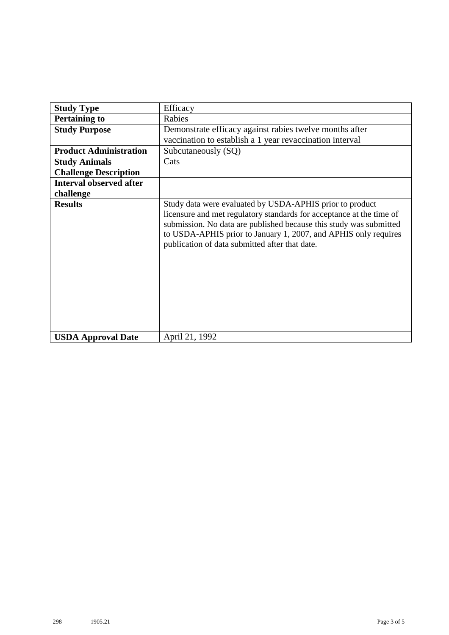| <b>Study Type</b>              | Efficacy                                                                                                                                                                                                                                                                                                                    |
|--------------------------------|-----------------------------------------------------------------------------------------------------------------------------------------------------------------------------------------------------------------------------------------------------------------------------------------------------------------------------|
| <b>Pertaining to</b>           | Rabies                                                                                                                                                                                                                                                                                                                      |
| <b>Study Purpose</b>           | Demonstrate efficacy against rabies twelve months after                                                                                                                                                                                                                                                                     |
|                                | vaccination to establish a 1 year revaccination interval                                                                                                                                                                                                                                                                    |
| <b>Product Administration</b>  | Subcutaneously (SQ)                                                                                                                                                                                                                                                                                                         |
| <b>Study Animals</b>           | Cats                                                                                                                                                                                                                                                                                                                        |
| <b>Challenge Description</b>   |                                                                                                                                                                                                                                                                                                                             |
| <b>Interval observed after</b> |                                                                                                                                                                                                                                                                                                                             |
| challenge                      |                                                                                                                                                                                                                                                                                                                             |
| <b>Results</b>                 | Study data were evaluated by USDA-APHIS prior to product<br>licensure and met regulatory standards for acceptance at the time of<br>submission. No data are published because this study was submitted<br>to USDA-APHIS prior to January 1, 2007, and APHIS only requires<br>publication of data submitted after that date. |
| <b>USDA Approval Date</b>      | April 21, 1992                                                                                                                                                                                                                                                                                                              |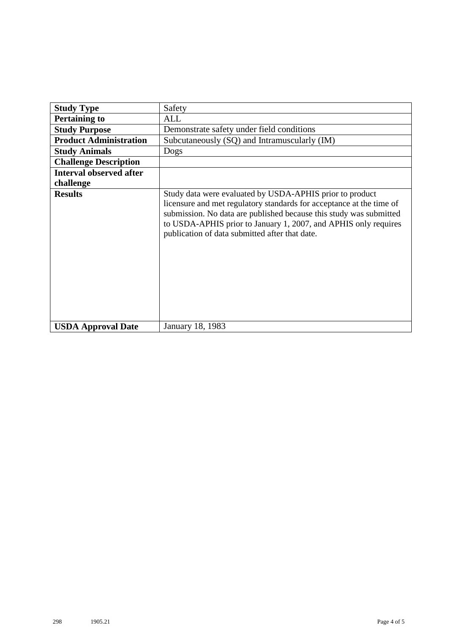| <b>Study Type</b>              | Safety                                                                                                                                                                                                                                                                                                                      |
|--------------------------------|-----------------------------------------------------------------------------------------------------------------------------------------------------------------------------------------------------------------------------------------------------------------------------------------------------------------------------|
|                                |                                                                                                                                                                                                                                                                                                                             |
| <b>Pertaining to</b>           | <b>ALL</b>                                                                                                                                                                                                                                                                                                                  |
| <b>Study Purpose</b>           | Demonstrate safety under field conditions                                                                                                                                                                                                                                                                                   |
| <b>Product Administration</b>  | Subcutaneously (SQ) and Intramuscularly (IM)                                                                                                                                                                                                                                                                                |
| <b>Study Animals</b>           | Dogs                                                                                                                                                                                                                                                                                                                        |
| <b>Challenge Description</b>   |                                                                                                                                                                                                                                                                                                                             |
| <b>Interval observed after</b> |                                                                                                                                                                                                                                                                                                                             |
| challenge                      |                                                                                                                                                                                                                                                                                                                             |
| <b>Results</b>                 | Study data were evaluated by USDA-APHIS prior to product<br>licensure and met regulatory standards for acceptance at the time of<br>submission. No data are published because this study was submitted<br>to USDA-APHIS prior to January 1, 2007, and APHIS only requires<br>publication of data submitted after that date. |
| <b>USDA Approval Date</b>      | January 18, 1983                                                                                                                                                                                                                                                                                                            |